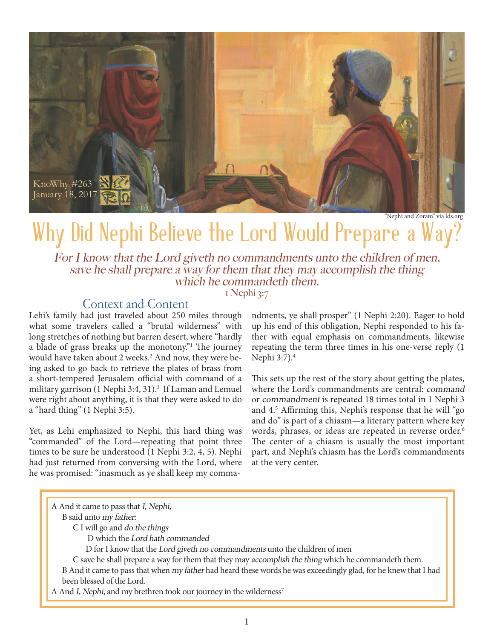

"Nephi and Zoram" via lds.org

# Why Did Nephi Believe the Lord Would Prepare a Way?

For I know that the Lord giveth no commandments unto the children of men, save he shall prepare a way for them that they may accomplish the thing which he commandeth them.

#### 1 Nephi 3:7

## Context and Content

Lehi's family had just traveled about 250 miles through what some travelers called a "brutal wilderness" with long stretches of nothing but barren desert, where "hardly a blade of grass breaks up the monotony." The journey would have taken about 2 weeks.<sup>2</sup> And now, they were being asked to go back to retrieve the plates of brass from a short-tempered Jerusalem official with command of a military garrison (1 Nephi 3:4, 31).<sup>3</sup> If Laman and Lemuel were right about anything, it is that they were asked to do a "hard thing" (1 Nephi 3:5).

Yet, as Lehi emphasized to Nephi, this hard thing was "commanded" of the Lord—repeating that point three times to be sure he understood (1 Nephi 3:2, 4, 5). Nephi had just returned from conversing with the Lord, where he was promised: "inasmuch as ye shall keep my commandments, ye shall prosper" (1 Nephi 2:20). Eager to hold up his end of this obligation, Nephi responded to his father with equal emphasis on commandments, likewise repeating the term three times in his one-verse reply (1 Nephi 3:7).4

This sets up the rest of the story about getting the plates, where the Lord's commandments are central: command or commandment is repeated 18 times total in 1 Nephi 3 and 4.5 Affirming this, Nephi's response that he will "go and do" is part of a chiasm—a literary pattern where key words, phrases, or ideas are repeated in reverse order.<sup>6</sup> The center of a chiasm is usually the most important part, and Nephi's chiasm has the Lord's commandments at the very center.

A And it came to pass that I, Nephi, B said unto my father: C I will go and do the things D which the Lord hath commanded D for I know that the Lord giveth no commandments unto the children of men C save he shall prepare a way for them that they may accomplish the thing which he commandeth them. B And it came to pass that when my father had heard these words he was exceedingly glad, for he knew that I had been blessed of the Lord. A And I, Nephi, and my brethren took our journey in the wilderness<sup>7</sup>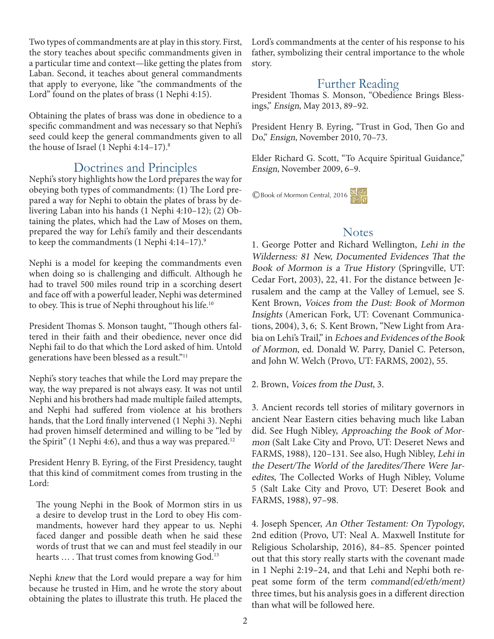Two types of commandments are at play in this story. First, the story teaches about specific commandments given in a particular time and context—like getting the plates from Laban. Second, it teaches about general commandments that apply to everyone, like "the commandments of the Lord" found on the plates of brass (1 Nephi 4:15).

Obtaining the plates of brass was done in obedience to a specific commandment and was necessary so that Nephi's seed could keep the general commandments given to all the house of Israel (1 Nephi 4:14–17). $8$ 

# Doctrines and Principles

Nephi's story highlights how the Lord prepares the way for obeying both types of commandments: (1) The Lord prepared a way for Nephi to obtain the plates of brass by delivering Laban into his hands (1 Nephi 4:10–12); (2) Obtaining the plates, which had the Law of Moses on them, prepared the way for Lehi's family and their descendants to keep the commandments (1 Nephi 4:14–17).<sup>9</sup>

Nephi is a model for keeping the commandments even when doing so is challenging and difficult. Although he had to travel 500 miles round trip in a scorching desert and face off with a powerful leader, Nephi was determined to obey. This is true of Nephi throughout his life.<sup>10</sup>

President Thomas S. Monson taught, "Though others faltered in their faith and their obedience, never once did Nephi fail to do that which the Lord asked of him. Untold generations have been blessed as a result."11

Nephi's story teaches that while the Lord may prepare the way, the way prepared is not always easy. It was not until Nephi and his brothers had made multiple failed attempts, and Nephi had suffered from violence at his brothers hands, that the Lord finally intervened (1 Nephi 3). Nephi had proven himself determined and willing to be "led by the Spirit" (1 Nephi 4:6), and thus a way was prepared.<sup>12</sup>

President Henry B. Eyring, of the First Presidency, taught that this kind of commitment comes from trusting in the Lord:

The young Nephi in the Book of Mormon stirs in us a desire to develop trust in the Lord to obey His commandments, however hard they appear to us. Nephi faced danger and possible death when he said these words of trust that we can and must feel steadily in our hearts ... . That trust comes from knowing God.<sup>13</sup>

Nephi knew that the Lord would prepare a way for him because he trusted in Him, and he wrote the story about obtaining the plates to illustrate this truth. He placed the Lord's commandments at the center of his response to his father, symbolizing their central importance to the whole story.

# Further Reading

President Thomas S. Monson, "Obedience Brings Blessings," Ensign, May 2013, 89–92.

President Henry B. Eyring, "Trust in God, Then Go and Do," Ensign, November 2010, 70–73.

Elder Richard G. Scott, "To Acquire Spiritual Guidance," Ensign, November 2009, 6–9.

©Book of Mormon Central, 2016

## **Notes**

1. George Potter and Richard Wellington, Lehi in the Wilderness: 81 New, Documented Evidences That the Book of Mormon is a True History (Springville, UT: Cedar Fort, 2003), 22, 41. For the distance between Jerusalem and the camp at the Valley of Lemuel, see S. Kent Brown, Voices from the Dust: Book of Mormon Insights (American Fork, UT: Covenant Communications, 2004), 3, 6; S. Kent Brown, "New Light from Arabia on Lehi's Trail," in Echoes and Evidences of the Book of Mormon, ed. Donald W. Parry, Daniel C. Peterson, and John W. Welch (Provo, UT: FARMS, 2002), 55.

2. Brown, Voices from the Dust, 3.

3. Ancient records tell stories of military governors in ancient Near Eastern cities behaving much like Laban did. See Hugh Nibley, Approaching the Book of Mormon (Salt Lake City and Provo, UT: Deseret News and FARMS, 1988), 120–131. See also, Hugh Nibley, Lehi in the Desert/The World of the Jaredites/There Were Jaredites, The Collected Works of Hugh Nibley, Volume 5 (Salt Lake City and Provo, UT: Deseret Book and FARMS, 1988), 97–98.

4. Joseph Spencer, An Other Testament: On Typology, 2nd edition (Provo, UT: Neal A. Maxwell Institute for Religious Scholarship, 2016), 84–85. Spencer pointed out that this story really starts with the covenant made in 1 Nephi 2:19–24, and that Lehi and Nephi both repeat some form of the term command(ed/eth/ment) three times, but his analysis goes in a different direction than what will be followed here.